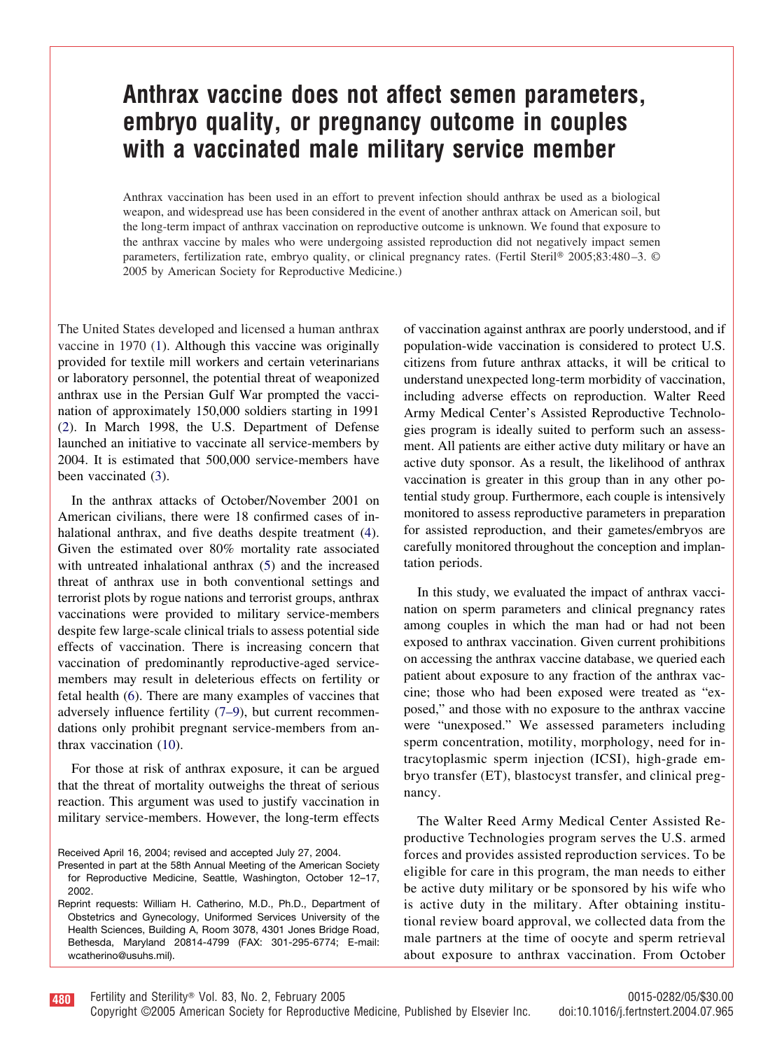## **Anthrax vaccine does not affect semen parameters, embryo quality, or pregnancy outcome in couples with a vaccinated male military service member**

Anthrax vaccination has been used in an effort to prevent infection should anthrax be used as a biological weapon, and widespread use has been considered in the event of another anthrax attack on American soil, but the long-term impact of anthrax vaccination on reproductive outcome is unknown. We found that exposure to the anthrax vaccine by males who were undergoing assisted reproduction did not negatively impact semen parameters, fertilization rate, embryo quality, or clinical pregnancy rates. (Fertil Steril® 2005;83:480-3. © 2005 by American Society for Reproductive Medicine.)

The United States developed and licensed a human anthrax vaccine in 1970 [\(1\)](#page--1-0). Although this vaccine was originally provided for textile mill workers and certain veterinarians or laboratory personnel, the potential threat of weaponized anthrax use in the Persian Gulf War prompted the vaccination of approximately 150,000 soldiers starting in 1991 [\(2\)](#page--1-0). In March 1998, the U.S. Department of Defense launched an initiative to vaccinate all service-members by 2004. It is estimated that 500,000 service-members have been vaccinated [\(3\)](#page--1-0).

In the anthrax attacks of October/November 2001 on American civilians, there were 18 confirmed cases of inhalational anthrax, and five deaths despite treatment [\(4\)](#page--1-0). Given the estimated over 80% mortality rate associated with untreated inhalational anthrax [\(5\)](#page--1-0) and the increased threat of anthrax use in both conventional settings and terrorist plots by rogue nations and terrorist groups, anthrax vaccinations were provided to military service-members despite few large-scale clinical trials to assess potential side effects of vaccination. There is increasing concern that vaccination of predominantly reproductive-aged servicemembers may result in deleterious effects on fertility or fetal health [\(6\)](#page--1-0). There are many examples of vaccines that adversely influence fertility [\(7–9\)](#page--1-0), but current recommendations only prohibit pregnant service-members from anthrax vaccination [\(10\)](#page--1-0).

For those at risk of anthrax exposure, it can be argued that the threat of mortality outweighs the threat of serious reaction. This argument was used to justify vaccination in military service-members. However, the long-term effects

Received April 16, 2004; revised and accepted July 27, 2004.

of vaccination against anthrax are poorly understood, and if population-wide vaccination is considered to protect U.S. citizens from future anthrax attacks, it will be critical to understand unexpected long-term morbidity of vaccination, including adverse effects on reproduction. Walter Reed Army Medical Center's Assisted Reproductive Technologies program is ideally suited to perform such an assessment. All patients are either active duty military or have an active duty sponsor. As a result, the likelihood of anthrax vaccination is greater in this group than in any other potential study group. Furthermore, each couple is intensively monitored to assess reproductive parameters in preparation for assisted reproduction, and their gametes/embryos are carefully monitored throughout the conception and implantation periods.

In this study, we evaluated the impact of anthrax vaccination on sperm parameters and clinical pregnancy rates among couples in which the man had or had not been exposed to anthrax vaccination. Given current prohibitions on accessing the anthrax vaccine database, we queried each patient about exposure to any fraction of the anthrax vaccine; those who had been exposed were treated as "exposed," and those with no exposure to the anthrax vaccine were "unexposed." We assessed parameters including sperm concentration, motility, morphology, need for intracytoplasmic sperm injection (ICSI), high-grade embryo transfer (ET), blastocyst transfer, and clinical pregnancy.

The Walter Reed Army Medical Center Assisted Reproductive Technologies program serves the U.S. armed forces and provides assisted reproduction services. To be eligible for care in this program, the man needs to either be active duty military or be sponsored by his wife who is active duty in the military. After obtaining institutional review board approval, we collected data from the male partners at the time of oocyte and sperm retrieval about exposure to anthrax vaccination. From October

Presented in part at the 58th Annual Meeting of the American Society for Reproductive Medicine, Seattle, Washington, October 12–17, 2002.

Reprint requests: William H. Catherino, M.D., Ph.D., Department of Obstetrics and Gynecology, Uniformed Services University of the Health Sciences, Building A, Room 3078, 4301 Jones Bridge Road, Bethesda, Maryland 20814-4799 (FAX: 301-295-6774; E-mail: wcatherino@usuhs.mil).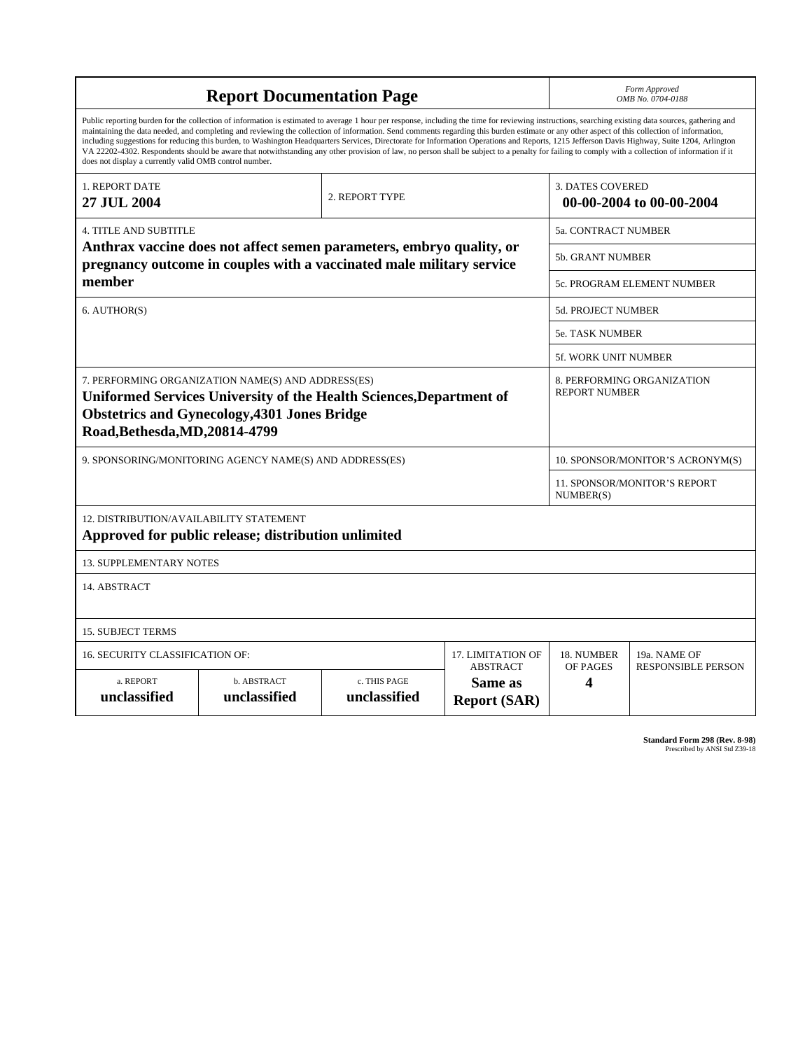| <b>Report Documentation Page</b>                                                                                                                                                                                                                                                                                                                                                                                                                                                                                                                                                                                                                                                                                                                                                                                                                                   |                                      |                              |                                |                                                    | Form Approved<br>OMB No. 0704-0188        |  |
|--------------------------------------------------------------------------------------------------------------------------------------------------------------------------------------------------------------------------------------------------------------------------------------------------------------------------------------------------------------------------------------------------------------------------------------------------------------------------------------------------------------------------------------------------------------------------------------------------------------------------------------------------------------------------------------------------------------------------------------------------------------------------------------------------------------------------------------------------------------------|--------------------------------------|------------------------------|--------------------------------|----------------------------------------------------|-------------------------------------------|--|
| Public reporting burden for the collection of information is estimated to average 1 hour per response, including the time for reviewing instructions, searching existing data sources, gathering and<br>maintaining the data needed, and completing and reviewing the collection of information. Send comments regarding this burden estimate or any other aspect of this collection of information,<br>including suggestions for reducing this burden, to Washington Headquarters Services, Directorate for Information Operations and Reports, 1215 Jefferson Davis Highway, Suite 1204, Arlington<br>VA 22202-4302. Respondents should be aware that notwithstanding any other provision of law, no person shall be subject to a penalty for failing to comply with a collection of information if it<br>does not display a currently valid OMB control number. |                                      |                              |                                |                                                    |                                           |  |
| 1. REPORT DATE<br>27 JUL 2004                                                                                                                                                                                                                                                                                                                                                                                                                                                                                                                                                                                                                                                                                                                                                                                                                                      |                                      | 2. REPORT TYPE               |                                | <b>3. DATES COVERED</b>                            | 00-00-2004 to 00-00-2004                  |  |
| <b>4. TITLE AND SUBTITLE</b>                                                                                                                                                                                                                                                                                                                                                                                                                                                                                                                                                                                                                                                                                                                                                                                                                                       |                                      |                              |                                |                                                    | <b>5a. CONTRACT NUMBER</b>                |  |
| Anthrax vaccine does not affect semen parameters, embryo quality, or<br>pregnancy outcome in couples with a vaccinated male military service                                                                                                                                                                                                                                                                                                                                                                                                                                                                                                                                                                                                                                                                                                                       |                                      |                              |                                |                                                    | <b>5b. GRANT NUMBER</b>                   |  |
| member                                                                                                                                                                                                                                                                                                                                                                                                                                                                                                                                                                                                                                                                                                                                                                                                                                                             |                                      |                              |                                |                                                    | 5c. PROGRAM ELEMENT NUMBER                |  |
| 6. AUTHOR(S)                                                                                                                                                                                                                                                                                                                                                                                                                                                                                                                                                                                                                                                                                                                                                                                                                                                       |                                      |                              |                                | <b>5d. PROJECT NUMBER</b>                          |                                           |  |
|                                                                                                                                                                                                                                                                                                                                                                                                                                                                                                                                                                                                                                                                                                                                                                                                                                                                    |                                      |                              |                                | <b>5e. TASK NUMBER</b>                             |                                           |  |
|                                                                                                                                                                                                                                                                                                                                                                                                                                                                                                                                                                                                                                                                                                                                                                                                                                                                    |                                      |                              |                                | <b>5f. WORK UNIT NUMBER</b>                        |                                           |  |
| 7. PERFORMING ORGANIZATION NAME(S) AND ADDRESS(ES)<br>Uniformed Services University of the Health Sciences, Department of<br><b>Obstetrics and Gynecology, 4301 Jones Bridge</b><br>Road, Bethesda, MD, 20814-4799                                                                                                                                                                                                                                                                                                                                                                                                                                                                                                                                                                                                                                                 |                                      |                              |                                | 8. PERFORMING ORGANIZATION<br><b>REPORT NUMBER</b> |                                           |  |
| 9. SPONSORING/MONITORING AGENCY NAME(S) AND ADDRESS(ES)                                                                                                                                                                                                                                                                                                                                                                                                                                                                                                                                                                                                                                                                                                                                                                                                            |                                      |                              |                                | 10. SPONSOR/MONITOR'S ACRONYM(S)                   |                                           |  |
|                                                                                                                                                                                                                                                                                                                                                                                                                                                                                                                                                                                                                                                                                                                                                                                                                                                                    |                                      |                              |                                |                                                    | 11. SPONSOR/MONITOR'S REPORT<br>NUMBER(S) |  |
| 12. DISTRIBUTION/AVAILABILITY STATEMENT<br>Approved for public release; distribution unlimited                                                                                                                                                                                                                                                                                                                                                                                                                                                                                                                                                                                                                                                                                                                                                                     |                                      |                              |                                |                                                    |                                           |  |
| <b>13. SUPPLEMENTARY NOTES</b>                                                                                                                                                                                                                                                                                                                                                                                                                                                                                                                                                                                                                                                                                                                                                                                                                                     |                                      |                              |                                |                                                    |                                           |  |
| 14. ABSTRACT                                                                                                                                                                                                                                                                                                                                                                                                                                                                                                                                                                                                                                                                                                                                                                                                                                                       |                                      |                              |                                |                                                    |                                           |  |
| <b>15. SUBJECT TERMS</b>                                                                                                                                                                                                                                                                                                                                                                                                                                                                                                                                                                                                                                                                                                                                                                                                                                           |                                      |                              |                                |                                                    |                                           |  |
| 16. SECURITY CLASSIFICATION OF:                                                                                                                                                                                                                                                                                                                                                                                                                                                                                                                                                                                                                                                                                                                                                                                                                                    | 17. LIMITATION OF<br><b>ABSTRACT</b> | 18. NUMBER<br>OF PAGES       | 19a. NAME OF                   |                                                    |                                           |  |
| a. REPORT<br>unclassified                                                                                                                                                                                                                                                                                                                                                                                                                                                                                                                                                                                                                                                                                                                                                                                                                                          | b. ABSTRACT<br>unclassified          | c. THIS PAGE<br>unclassified | Same as<br><b>Report (SAR)</b> | 4                                                  | <b>RESPONSIBLE PERSON</b>                 |  |

**Standard Form 298 (Rev. 8-98)**<br>Prescribed by ANSI Std Z39-18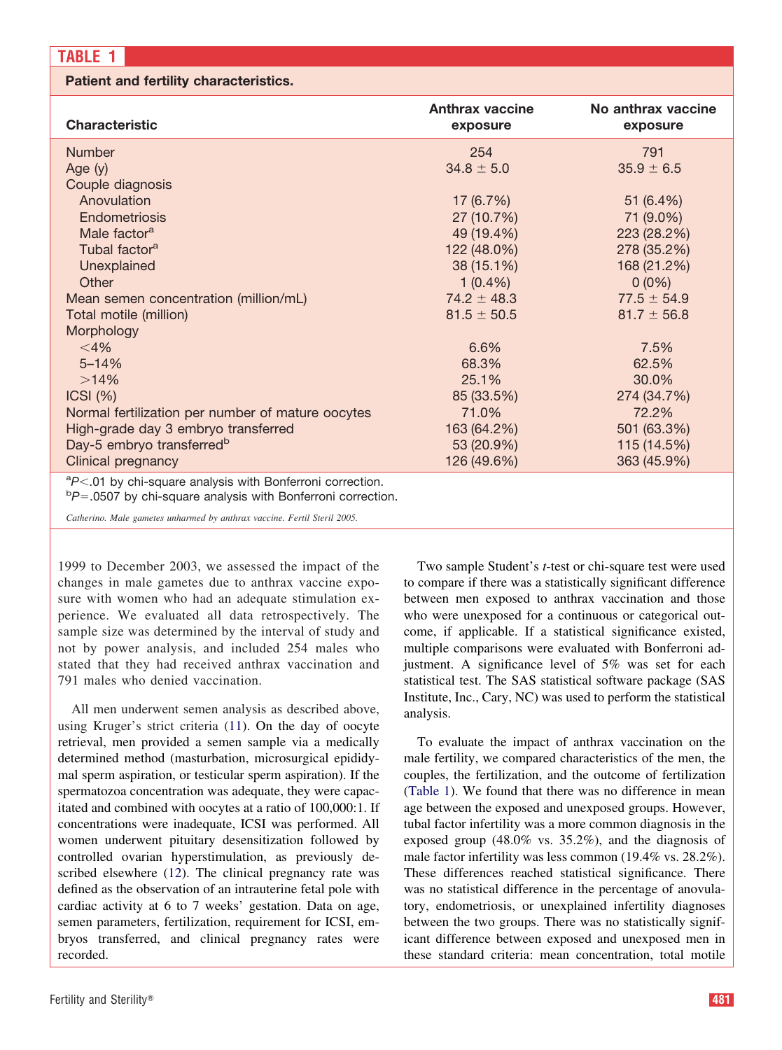## **TABLE 1**

## **Patient and fertility characteristics.**

|                                                                 | <b>Anthrax vaccine</b> | No anthrax vaccine |  |  |  |
|-----------------------------------------------------------------|------------------------|--------------------|--|--|--|
| <b>Characteristic</b>                                           | exposure               | exposure           |  |  |  |
| <b>Number</b>                                                   | 254                    | 791                |  |  |  |
| Age $(y)$                                                       | $34.8 \pm 5.0$         | $35.9 \pm 6.5$     |  |  |  |
| Couple diagnosis                                                |                        |                    |  |  |  |
| Anovulation                                                     | 17 (6.7%)              | 51 (6.4%)          |  |  |  |
| Endometriosis                                                   | 27 (10.7%)             | 71 (9.0%)          |  |  |  |
| Male factor <sup>a</sup>                                        | 49 (19.4%)             | 223 (28.2%)        |  |  |  |
| Tubal factor <sup>a</sup>                                       | 122 (48.0%)            | 278 (35.2%)        |  |  |  |
| Unexplained                                                     | 38 (15.1%)             | 168 (21.2%)        |  |  |  |
| Other                                                           | $1(0.4\%)$             | $0(0\%)$           |  |  |  |
| Mean semen concentration (million/mL)                           | $74.2 \pm 48.3$        | $77.5 \pm 54.9$    |  |  |  |
| Total motile (million)                                          | $81.5 \pm 50.5$        | $81.7 \pm 56.8$    |  |  |  |
| Morphology                                                      |                        |                    |  |  |  |
| $<$ 4%                                                          | 6.6%                   | 7.5%               |  |  |  |
| $5 - 14%$                                                       | 68.3%                  | 62.5%              |  |  |  |
| >14%                                                            | 25.1%                  | 30.0%              |  |  |  |
| ICSI (%)                                                        | 85 (33.5%)             | 274 (34.7%)        |  |  |  |
| Normal fertilization per number of mature oocytes               | 71.0%                  | 72.2%              |  |  |  |
| High-grade day 3 embryo transferred                             | 163 (64.2%)            | 501 (63.3%)        |  |  |  |
| Day-5 embryo transferred <sup>b</sup>                           | 53 (20.9%)             | 115 (14.5%)        |  |  |  |
| Clinical pregnancy                                              | 126 (49.6%)            | 363 (45.9%)        |  |  |  |
| $P$ <.01 by chi-square analysis with Bonferroni correction.     |                        |                    |  |  |  |
| $P = 0.0507$ by chi-square analysis with Bonferroni correction. |                        |                    |  |  |  |

*Catherino. Male gametes unharmed by anthrax vaccine. Fertil Steril 2005.*

1999 to December 2003, we assessed the impact of the changes in male gametes due to anthrax vaccine exposure with women who had an adequate stimulation experience. We evaluated all data retrospectively. The sample size was determined by the interval of study and not by power analysis, and included 254 males who stated that they had received anthrax vaccination and 791 males who denied vaccination.

All men underwent semen analysis as described above, using Kruger's strict criteria [\(11\)](#page-4-0). On the day of oocyte retrieval, men provided a semen sample via a medically determined method (masturbation, microsurgical epididymal sperm aspiration, or testicular sperm aspiration). If the spermatozoa concentration was adequate, they were capacitated and combined with oocytes at a ratio of 100,000:1. If concentrations were inadequate, ICSI was performed. All women underwent pituitary desensitization followed by controlled ovarian hyperstimulation, as previously described elsewhere [\(12\)](#page-4-0). The clinical pregnancy rate was defined as the observation of an intrauterine fetal pole with cardiac activity at 6 to 7 weeks' gestation. Data on age, semen parameters, fertilization, requirement for ICSI, embryos transferred, and clinical pregnancy rates were recorded.

Two sample Student's *t*-test or chi-square test were used to compare if there was a statistically significant difference between men exposed to anthrax vaccination and those who were unexposed for a continuous or categorical outcome, if applicable. If a statistical significance existed, multiple comparisons were evaluated with Bonferroni adjustment. A significance level of 5% was set for each statistical test. The SAS statistical software package (SAS Institute, Inc., Cary, NC) was used to perform the statistical analysis.

To evaluate the impact of anthrax vaccination on the male fertility, we compared characteristics of the men, the couples, the fertilization, and the outcome of fertilization (Table 1). We found that there was no difference in mean age between the exposed and unexposed groups. However, tubal factor infertility was a more common diagnosis in the exposed group  $(48.0\% \text{ vs. } 35.2\%)$ , and the diagnosis of male factor infertility was less common (19.4% vs. 28.2%). These differences reached statistical significance. There was no statistical difference in the percentage of anovulatory, endometriosis, or unexplained infertility diagnoses between the two groups. There was no statistically significant difference between exposed and unexposed men in these standard criteria: mean concentration, total motile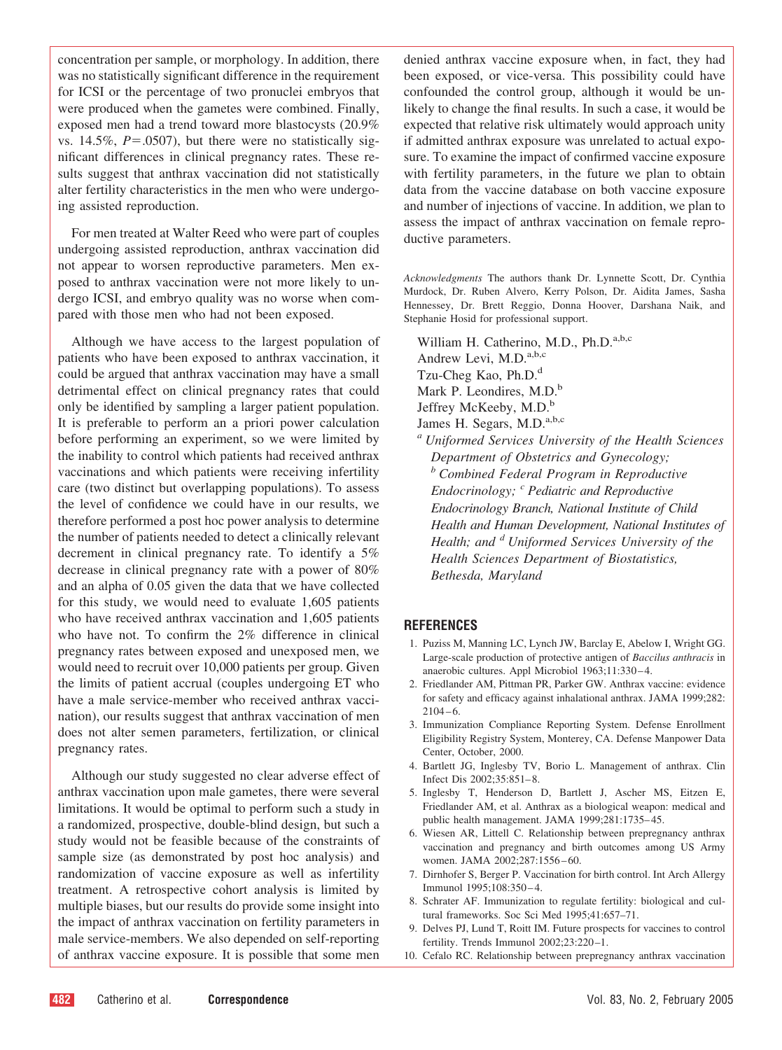concentration per sample, or morphology. In addition, there was no statistically significant difference in the requirement for ICSI or the percentage of two pronuclei embryos that were produced when the gametes were combined. Finally, exposed men had a trend toward more blastocysts (20.9% vs.  $14.5\%$ ,  $P = .0507$ ), but there were no statistically significant differences in clinical pregnancy rates. These results suggest that anthrax vaccination did not statistically alter fertility characteristics in the men who were undergoing assisted reproduction.

For men treated at Walter Reed who were part of couples undergoing assisted reproduction, anthrax vaccination did not appear to worsen reproductive parameters. Men exposed to anthrax vaccination were not more likely to undergo ICSI, and embryo quality was no worse when compared with those men who had not been exposed.

Although we have access to the largest population of patients who have been exposed to anthrax vaccination, it could be argued that anthrax vaccination may have a small detrimental effect on clinical pregnancy rates that could only be identified by sampling a larger patient population. It is preferable to perform an a priori power calculation before performing an experiment, so we were limited by the inability to control which patients had received anthrax vaccinations and which patients were receiving infertility care (two distinct but overlapping populations). To assess the level of confidence we could have in our results, we therefore performed a post hoc power analysis to determine the number of patients needed to detect a clinically relevant decrement in clinical pregnancy rate. To identify a 5% decrease in clinical pregnancy rate with a power of 80% and an alpha of 0.05 given the data that we have collected for this study, we would need to evaluate 1,605 patients who have received anthrax vaccination and 1,605 patients who have not. To confirm the 2% difference in clinical pregnancy rates between exposed and unexposed men, we would need to recruit over 10,000 patients per group. Given the limits of patient accrual (couples undergoing ET who have a male service-member who received anthrax vaccination), our results suggest that anthrax vaccination of men does not alter semen parameters, fertilization, or clinical pregnancy rates.

Although our study suggested no clear adverse effect of anthrax vaccination upon male gametes, there were several limitations. It would be optimal to perform such a study in a randomized, prospective, double-blind design, but such a study would not be feasible because of the constraints of sample size (as demonstrated by post hoc analysis) and randomization of vaccine exposure as well as infertility treatment. A retrospective cohort analysis is limited by multiple biases, but our results do provide some insight into the impact of anthrax vaccination on fertility parameters in male service-members. We also depended on self-reporting of anthrax vaccine exposure. It is possible that some men

denied anthrax vaccine exposure when, in fact, they had been exposed, or vice-versa. This possibility could have confounded the control group, although it would be unlikely to change the final results. In such a case, it would be expected that relative risk ultimately would approach unity if admitted anthrax exposure was unrelated to actual exposure. To examine the impact of confirmed vaccine exposure with fertility parameters, in the future we plan to obtain data from the vaccine database on both vaccine exposure and number of injections of vaccine. In addition, we plan to assess the impact of anthrax vaccination on female reproductive parameters.

*Acknowledgments* The authors thank Dr. Lynnette Scott, Dr. Cynthia Murdock, Dr. Ruben Alvero, Kerry Polson, Dr. Aidita James, Sasha Hennessey, Dr. Brett Reggio, Donna Hoover, Darshana Naik, and Stephanie Hosid for professional support.

William H. Catherino, M.D., Ph.D.<sup>a,b,c</sup> Andrew Levi, M.D.<sup>a,b,c</sup> Tzu-Cheg Kao, Ph.D.<sup>d</sup> Mark P. Leondires, M.D.<sup>b</sup> Jeffrey McKeeby, M.D.<sup>b</sup> James H. Segars, M.D.<sup>a,b,c</sup> *<sup>a</sup> Uniformed Services University of the Health Sciences Department of Obstetrics and Gynecology; <sup>b</sup> Combined Federal Program in Reproductive Endocrinology; <sup>c</sup> Pediatric and Reproductive Endocrinology Branch, National Institute of Child Health and Human Development, National Institutes of Health; and <sup>d</sup> Uniformed Services University of the*

*Health Sciences Department of Biostatistics, Bethesda, Maryland*

## **REFERENCES**

- 1. Puziss M, Manning LC, Lynch JW, Barclay E, Abelow I, Wright GG. Large-scale production of protective antigen of *Baccilus anthracis* in anaerobic cultures. Appl Microbiol 1963;11:330–4.
- 2. Friedlander AM, Pittman PR, Parker GW. Anthrax vaccine: evidence for safety and efficacy against inhalational anthrax. JAMA 1999;282:  $2104-6$ .
- 3. Immunization Compliance Reporting System. Defense Enrollment Eligibility Registry System, Monterey, CA. Defense Manpower Data Center, October, 2000.
- 4. Bartlett JG, Inglesby TV, Borio L. Management of anthrax. Clin Infect Dis 2002;35:851–8.
- 5. Inglesby T, Henderson D, Bartlett J, Ascher MS, Eitzen E, Friedlander AM, et al. Anthrax as a biological weapon: medical and public health management. JAMA 1999;281:1735–45.
- 6. Wiesen AR, Littell C. Relationship between prepregnancy anthrax vaccination and pregnancy and birth outcomes among US Army women. JAMA 2002;287:1556–60.
- 7. Dirnhofer S, Berger P. Vaccination for birth control. Int Arch Allergy Immunol 1995;108:350–4.
- 8. Schrater AF. Immunization to regulate fertility: biological and cultural frameworks. Soc Sci Med 1995;41:657–71.
- 9. Delves PJ, Lund T, Roitt IM. Future prospects for vaccines to control fertility. Trends Immunol 2002;23:220–1.
- 10. Cefalo RC. Relationship between prepregnancy anthrax vaccination